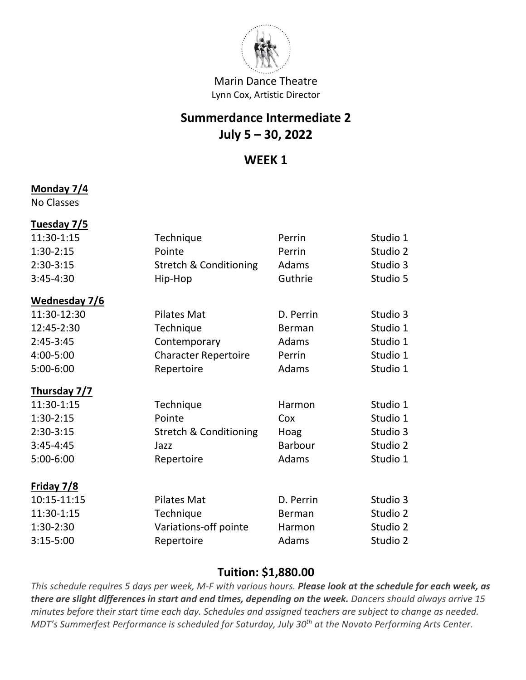

## **Summerdance Intermediate 2 July 5 – 30, 2022**

### **WEEK 1**

#### **Monday 7/4**

No Classes

| Tuesday 7/5   |                                   |                |          |
|---------------|-----------------------------------|----------------|----------|
| 11:30-1:15    | Technique                         | Perrin         | Studio 1 |
| $1:30-2:15$   | Pointe                            | Perrin         | Studio 2 |
| $2:30-3:15$   | <b>Stretch &amp; Conditioning</b> | Adams          | Studio 3 |
| $3:45-4:30$   | Hip-Hop                           | Guthrie        | Studio 5 |
| Wednesday 7/6 |                                   |                |          |
| 11:30-12:30   | <b>Pilates Mat</b>                | D. Perrin      | Studio 3 |
| 12:45-2:30    | Technique                         | Berman         | Studio 1 |
| $2:45-3:45$   | Contemporary                      | Adams          | Studio 1 |
| 4:00-5:00     | <b>Character Repertoire</b>       | Perrin         | Studio 1 |
| 5:00-6:00     | Repertoire                        | Adams          | Studio 1 |
| Thursday 7/7  |                                   |                |          |
| 11:30-1:15    | Technique                         | Harmon         | Studio 1 |
| $1:30-2:15$   | Pointe                            | Cox            | Studio 1 |
| $2:30-3:15$   | <b>Stretch &amp; Conditioning</b> | Hoag           | Studio 3 |
| $3:45 - 4:45$ | Jazz                              | <b>Barbour</b> | Studio 2 |
| 5:00-6:00     | Repertoire                        | Adams          | Studio 1 |
| Friday 7/8    |                                   |                |          |
| 10:15-11:15   | <b>Pilates Mat</b>                | D. Perrin      | Studio 3 |
| 11:30-1:15    | Technique                         | <b>Berman</b>  | Studio 2 |
| 1:30-2:30     | Variations-off pointe             | Harmon         | Studio 2 |
| $3:15-5:00$   | Repertoire                        | Adams          | Studio 2 |
|               |                                   |                |          |

### **Tuition: \$1,880.00**

*This schedule requires 5 days per week, M-F with various hours. Please look at the schedule for each week, as there are slight differences in start and end times, depending on the week. Dancers should always arrive 15 minutes before their start time each day. Schedules and assigned teachers are subject to change as needed. MDT's Summerfest Performance is scheduled for Saturday, July 30th at the Novato Performing Arts Center.*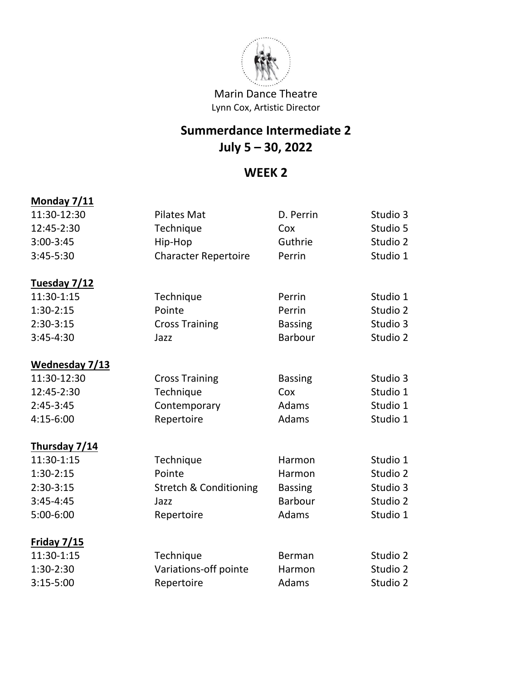

# **Summerdance Intermediate 2 July 5 – 30, 2022**

## **WEEK 2**

| Monday 7/11    |                                   |                |          |
|----------------|-----------------------------------|----------------|----------|
| 11:30-12:30    | <b>Pilates Mat</b>                | D. Perrin      | Studio 3 |
| 12:45-2:30     | Technique                         | Cox            | Studio 5 |
| $3:00-3:45$    | Hip-Hop                           | Guthrie        | Studio 2 |
| 3:45-5:30      | <b>Character Repertoire</b>       | Perrin         | Studio 1 |
| Tuesday 7/12   |                                   |                |          |
| 11:30-1:15     | Technique                         | Perrin         | Studio 1 |
| $1:30-2:15$    | Pointe                            | Perrin         | Studio 2 |
| $2:30-3:15$    | <b>Cross Training</b>             | <b>Bassing</b> | Studio 3 |
| 3:45-4:30      | Jazz                              | <b>Barbour</b> | Studio 2 |
| Wednesday 7/13 |                                   |                |          |
| 11:30-12:30    | <b>Cross Training</b>             | <b>Bassing</b> | Studio 3 |
| 12:45-2:30     | Technique                         | Cox            | Studio 1 |
| $2:45-3:45$    | Contemporary                      | Adams          | Studio 1 |
| 4:15-6:00      | Repertoire                        | Adams          | Studio 1 |
| Thursday 7/14  |                                   |                |          |
| 11:30-1:15     | Technique                         | Harmon         | Studio 1 |
| $1:30-2:15$    | Pointe                            | Harmon         | Studio 2 |
| $2:30-3:15$    | <b>Stretch &amp; Conditioning</b> | <b>Bassing</b> | Studio 3 |
| $3:45 - 4:45$  | Jazz                              | <b>Barbour</b> | Studio 2 |
| 5:00-6:00      | Repertoire                        | Adams          | Studio 1 |
| Friday 7/15    |                                   |                |          |
| 11:30-1:15     | Technique                         | Berman         | Studio 2 |
| 1:30-2:30      | Variations-off pointe             | Harmon         | Studio 2 |
| $3:15-5:00$    | Repertoire                        | Adams          | Studio 2 |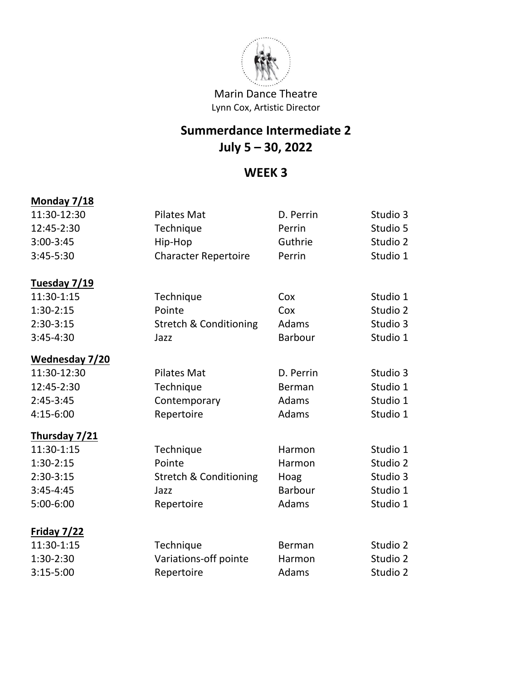

# **Summerdance Intermediate 2 July 5 – 30, 2022**

## **WEEK 3**

### **Monday 7/18**

| 11:30-12:30        | <b>Pilates Mat</b>                | D. Perrin      | Studio 3 |
|--------------------|-----------------------------------|----------------|----------|
| 12:45-2:30         | Technique                         | Perrin         | Studio 5 |
| 3:00-3:45          | Hip-Hop                           | Guthrie        | Studio 2 |
| 3:45-5:30          | <b>Character Repertoire</b>       | Perrin         | Studio 1 |
| Tuesday 7/19       |                                   |                |          |
| 11:30-1:15         | Technique                         | Cox            | Studio 1 |
| $1:30-2:15$        | Pointe                            | Cox            | Studio 2 |
| $2:30-3:15$        | <b>Stretch &amp; Conditioning</b> | Adams          | Studio 3 |
| $3:45-4:30$        | Jazz                              | Barbour        | Studio 1 |
| Wednesday 7/20     |                                   |                |          |
| 11:30-12:30        | <b>Pilates Mat</b>                | D. Perrin      | Studio 3 |
| 12:45-2:30         | Technique                         | Berman         | Studio 1 |
| $2:45-3:45$        | Contemporary                      | Adams          | Studio 1 |
| 4:15-6:00          | Repertoire                        | Adams          | Studio 1 |
| Thursday 7/21      |                                   |                |          |
| 11:30-1:15         | Technique                         | Harmon         | Studio 1 |
| $1:30-2:15$        | Pointe                            | Harmon         | Studio 2 |
| $2:30-3:15$        | <b>Stretch &amp; Conditioning</b> | Hoag           | Studio 3 |
| $3:45-4:45$        | Jazz                              | <b>Barbour</b> | Studio 1 |
| 5:00-6:00          | Repertoire                        | Adams          | Studio 1 |
| <b>Friday 7/22</b> |                                   |                |          |
| 11:30-1:15         | Technique                         | Berman         | Studio 2 |
| 1:30-2:30          | Variations-off pointe             | Harmon         | Studio 2 |
| $3:15-5:00$        | Repertoire                        | Adams          | Studio 2 |
|                    |                                   |                |          |